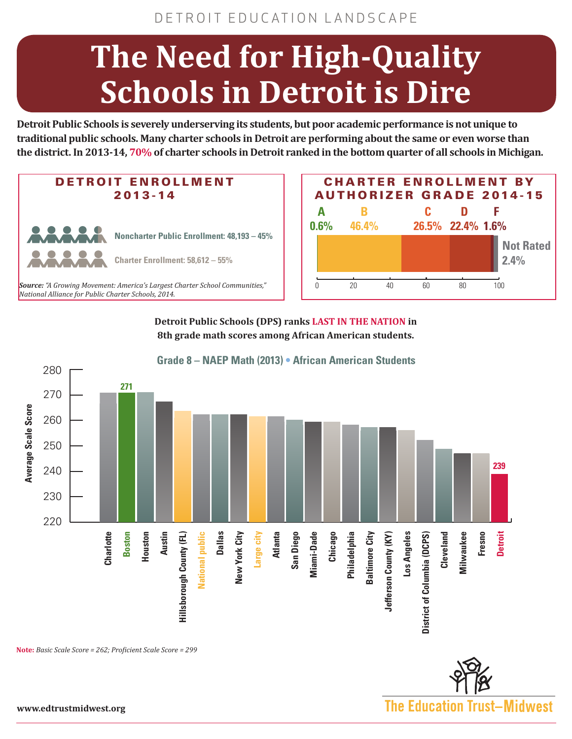## **The Need for High-Quality Schools in Detroit is Dire**

**Detroit Public Schools is severely underserving its students, but poor academic performance is not unique to traditional public schools. Many charter schools in Detroit are performing about the same or even worse than the district. In 2013-14, 70% of charter schools in Detroit ranked in the bottom quarter of all schools in Michigan.**



*National Alliance for Public Charter Schools, 2014.*



**Detroit Public Schools (DPS) ranks LAST IN THE NATION in 8th grade math scores among African American students.**



**Grade 8 – NAEP Math (2013) • African American Students**

**Note:** *Basic Scale Score = 262; Proficient Scale Score = 299*